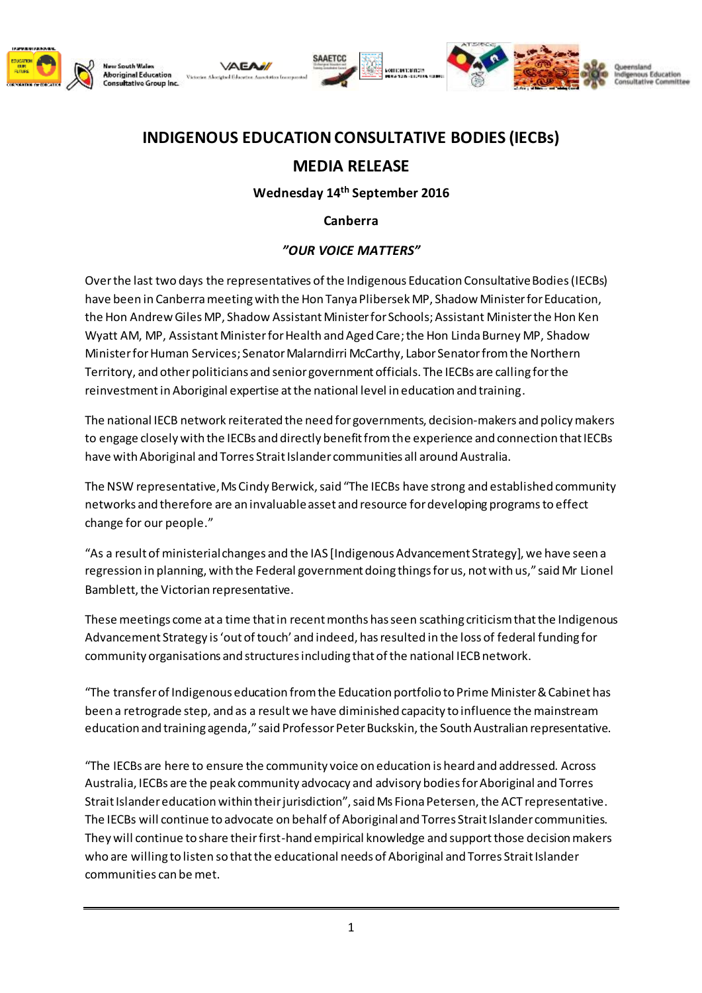

Aboriginal Edu



## **INDIGENOUS EDUCATION CONSULTATIVE BODIES (IECBs)**

## **MEDIA RELEASE**

**Wednesday 14th September 2016**

**Canberra**

## *"OUR VOICE MATTERS"*

Over the last two days the representatives of the Indigenous Education Consultative Bodies (IECBs) have been in Canberra meeting with the Hon Tanya Plibersek MP, Shadow Minister for Education, the Hon Andrew Giles MP, Shadow Assistant Minister for Schools; Assistant Minister the Hon Ken Wyatt AM, MP, Assistant Minister for Health and Aged Care;the Hon Linda Burney MP, Shadow Minister for Human Services; Senator Malarndirri McCarthy, Labor Senator from the Northern Territory, and other politicians and senior government officials. The IECBs are calling for the reinvestment inAboriginal expertise at the national level in education and training.

The national IECB network reiterated the need for governments, decision-makers and policy makers to engage closely with the IECBs and directly benefit from the experience and connection that IECBs have with Aboriginal and Torres Strait Islander communities all around Australia.

The NSW representative, Ms Cindy Berwick, said "The IECBs have strong and established community networks and therefore are an invaluable asset and resource for developing programsto effect change for our people."

"As a result of ministerial changes and the IAS [Indigenous Advancement Strategy], we have seen a regression in planning, with the Federal government doing things for us, not with us," said Mr Lionel Bamblett, the Victorian representative.

These meetings come at a time that in recent months has seen scathing criticism that the Indigenous Advancement Strategy is 'out of touch' and indeed, has resulted in the loss of federal funding for community organisations and structures including that of the national IECB network.

"The transfer of Indigenous education from the Education portfolio to Prime Minister & Cabinet has been a retrograde step, and as a result we have diminished capacity to influence the mainstream education and training agenda," said Professor Peter Buckskin, the South Australian representative.

"The IECBs are here to ensure the community voice on education is heard and addressed. Across Australia, IECBs are the peak community advocacy and advisory bodies for Aboriginal and Torres Strait Islander education within their jurisdiction", said Ms Fiona Petersen, the ACT representative. The IECBs will continue to advocate on behalf of Aboriginal and Torres Strait Islander communities. They will continue to share their first-hand empirical knowledge and support those decision makers who are willing to listen so thatthe educational needs of Aboriginal and Torres Strait Islander communities can be met.